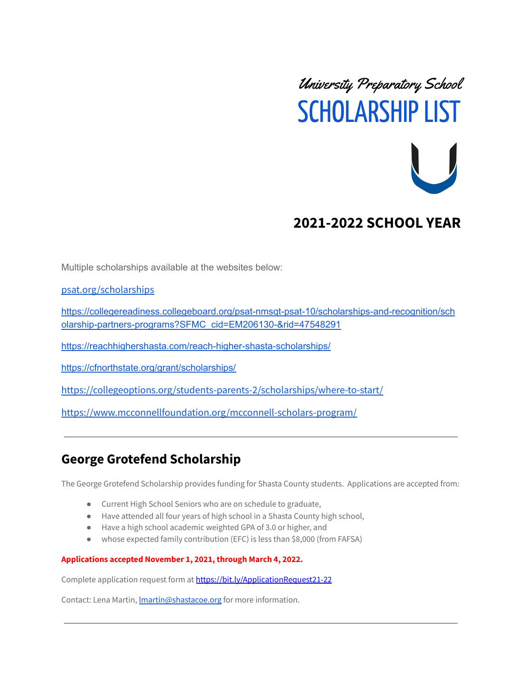# University Preparatory School SCHOLARSHIP LIST

# **2021-2022 SCHOOL YEAR**

Multiple scholarships available at the websites below:

[psat.org/scholarships](https://click.e.collegeboard.org/?qs=6cd95025bb59667dd7c4e936df10b4e43e843f5d17c0fb93c8edfa8ae0b1affb169fe8d5722d0aba97f4857d476d306eaf97a3058b3c63e918c6bc5448874f7e)

[https://collegereadiness.collegeboard.org/psat-nmsqt-psat-10/scholarships-and-recognition/sch](https://collegereadiness.collegeboard.org/psat-nmsqt-psat-10/scholarships-and-recognition/scholarship-partners-programs?SFMC_cid=EM206130-&rid=47548291) [olarship-partners-programs?SFMC\\_cid=EM206130-&rid=47548291](https://collegereadiness.collegeboard.org/psat-nmsqt-psat-10/scholarships-and-recognition/scholarship-partners-programs?SFMC_cid=EM206130-&rid=47548291)

<https://reachhighershasta.com/reach-higher-shasta-scholarships/>

<https://cfnorthstate.org/grant/scholarships/>

<https://collegeoptions.org/students-parents-2/scholarships/where-to-start/>

<https://www.mcconnellfoundation.org/mcconnell-scholars-program/>

## **George Grotefend Scholarship**

The George Grotefend Scholarship provides funding for Shasta County students. Applications are accepted from:

- Current High School Seniors who are on schedule to graduate,
- Have attended all four years of high school in a Shasta County high school,
- Have a high school academic weighted GPA of 3.0 or higher, and
- whose expected family contribution (EFC) is less than \$8,000 (from FAFSA)

## **Applications accepted November 1, 2021, through March 4, 2022.**

Complete application request form at [https://bit.ly/Applicatio](http://bit.ly/Application)nRequest21-22

Contact: Lena Martin, Imartin@shastacoe.org for more information.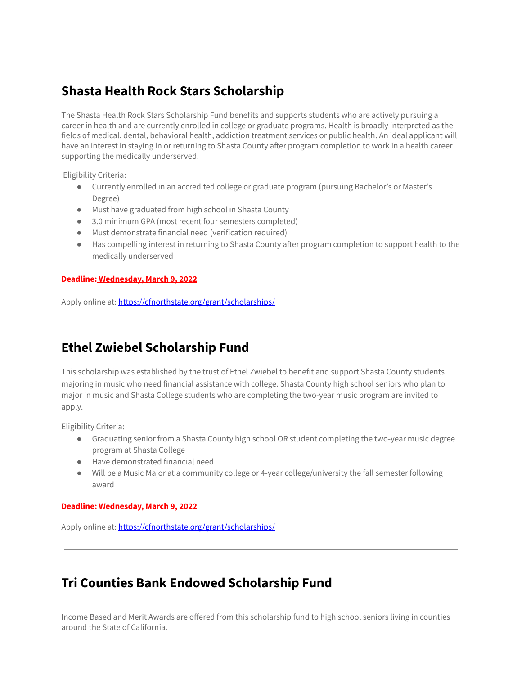## **Shasta Health Rock Stars Scholarship**

The Shasta Health Rock Stars Scholarship Fund benefits and supports students who are actively pursuing a career in health and are currently enrolled in college or graduate programs. Health is broadly interpreted as the fields of medical, dental, behavioral health, addiction treatment services or public health. An ideal applicant will have an interest in staying in or returning to Shasta County after program completion to work in a health career supporting the medically underserved.

Eligibility Criteria:

- Currently enrolled in an accredited college or graduate program (pursuing Bachelor's or Master's Degree)
- Must have graduated from high school in Shasta County
- 3.0 minimum GPA (most recent four semesters completed)
- Must demonstrate financial need (verification required)
- Has compelling interest in returning to Shasta County after program completion to support health to the medically underserved

## **Deadline: Wednesday, March 9, 2022**

Apply online at: <https://cfnorthstate.org/grant/scholarships/>

## **Ethel Zwiebel Scholarship Fund**

This scholarship was established by the trust of Ethel Zwiebel to benefit and support Shasta County students majoring in music who need financial assistance with college. Shasta County high school seniors who plan to major in music and Shasta College students who are completing the two-year music program are invited to apply.

Eligibility Criteria:

- Graduating senior from a Shasta County high school OR student completing the two-year music degree program at Shasta College
- Have demonstrated financial need
- Will be a Music Major at a community college or 4-year college/university the fall semester following award

## **Deadline: Wednesday, March 9, 2022**

Apply online at: <https://cfnorthstate.org/grant/scholarships/>

## **Tri Counties Bank Endowed Scholarship Fund**

Income Based and Merit Awards are offered from this scholarship fund to high school seniors living in counties around the State of California.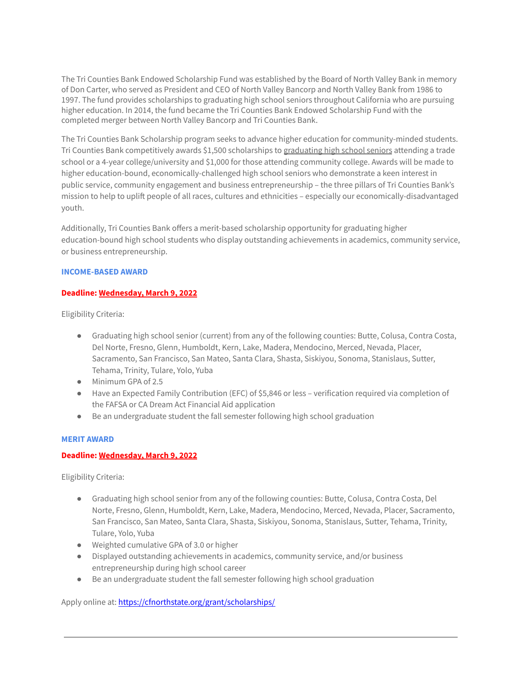The Tri Counties Bank Endowed [Scholarship](https://cfnorthstate.org/donations/tri-counties-bank-endowed-scholarship-fund/) Fund was established by the Board of North Valley Bank in memory of Don Carter, who served as President and CEO of North Valley Bancorp and North Valley Bank from 1986 to 1997. The fund provides scholarships to graduating high school seniors throughout California who are pursuing higher education. In 2014, the fund became the Tri Counties Bank Endowed Scholarship Fund with the completed merger between North Valley Bancorp and Tri Counties Bank.

The Tri Counties Bank Scholarship program seeks to advance higher education for community-minded students. Tri Counties Bank competitively awards \$1,500 scholarships to graduating high school seniors attending a trade school or a 4-year college/university and \$1,000 for those attending community college. Awards will be made to higher education-bound, economically-challenged high school seniors who demonstrate a keen interest in public service, community engagement and business entrepreneurship – the three pillars of Tri Counties Bank's mission to help to uplift people of all races, cultures and ethnicities – especially our economically-disadvantaged youth.

Additionally, Tri Counties Bank offers a merit-based scholarship opportunity for graduating higher education-bound high school students who display outstanding achievements in academics, community service, or business entrepreneurship.

## **INCOME-BASED AWARD**

## **Deadline: Wednesday, March 9, 2022**

Eligibility Criteria:

- Graduating high school senior (current) from any of the following counties: Butte, Colusa, Contra Costa, Del Norte, Fresno, Glenn, Humboldt, Kern, Lake, Madera, Mendocino, Merced, Nevada, Placer, Sacramento, San Francisco, San Mateo, Santa Clara, Shasta, Siskiyou, Sonoma, Stanislaus, Sutter, Tehama, Trinity, Tulare, Yolo, Yuba
- Minimum GPA of 2.5
- Have an Expected Family Contribution (EFC) of \$5,846 or less verification required via completion of the FAFSA or CA Dream Act Financial Aid application
- Be an undergraduate student the fall semester following high school graduation

#### **MERIT AWARD**

#### **Deadline: Wednesday, March 9, 2022**

Eligibility Criteria:

- Graduating high school senior from any of the following counties: Butte, Colusa, Contra Costa, Del Norte, Fresno, Glenn, Humboldt, Kern, Lake, Madera, Mendocino, Merced, Nevada, Placer, Sacramento, San Francisco, San Mateo, Santa Clara, Shasta, Siskiyou, Sonoma, Stanislaus, Sutter, Tehama, Trinity, Tulare, Yolo, Yuba
- Weighted cumulative GPA of 3.0 or higher
- Displayed outstanding achievements in academics, community service, and/or business entrepreneurship during high school career
- Be an undergraduate student the fall semester following high school graduation

Apply online at: <https://cfnorthstate.org/grant/scholarships/>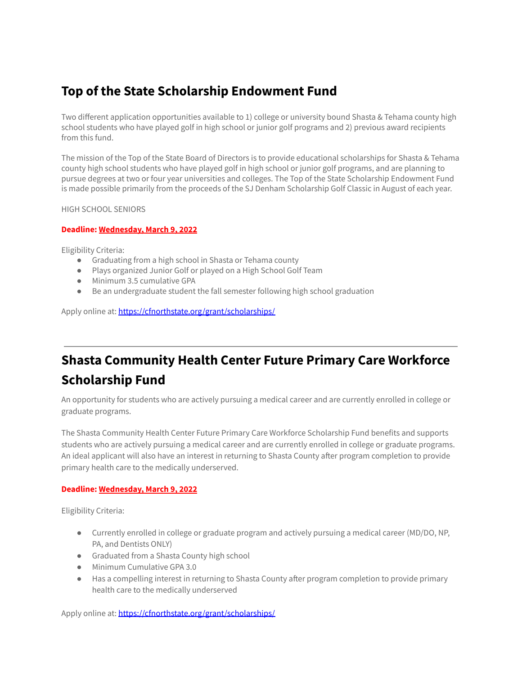## **Top of the State Scholarship Endowment Fund**

Two different application opportunities available to 1) college or university bound Shasta & Tehama county high school students who have played golf in high school or junior golf programs and 2) previous award recipients from this fund.

The mission of the Top of the State Board of Directors is to provide educational scholarships for Shasta & Tehama county high school students who have played golf in high school or junior golf programs, and are planning to pursue degrees at two or four year universities and colleges. The Top of the State Scholarship [Endowment](https://cfnorthstate.org/donations/top-of-the-state-scholarship-endowment-fund/) Fund is made possible primarily from the proceeds of the SJ Denham Scholarship Golf Classic in August of each year.

HIGH SCHOOL SENIORS

## **Deadline: Wednesday, March 9, 2022**

Eligibility Criteria:

- Graduating from a high school in Shasta or Tehama county
- Plays organized Junior Golf or played on a High School Golf Team
- Minimum 3.5 cumulative GPA
- Be an undergraduate student the fall semester following high school graduation

Apply online at: <https://cfnorthstate.org/grant/scholarships/>

# **Shasta [Community](https://cfnorthstate.org/scholarships/shasta-community-health-center-future-primary-care-workforce-scholarship-fund/) Health Center Future Primary Care Workforce [Scholarship](https://cfnorthstate.org/scholarships/shasta-community-health-center-future-primary-care-workforce-scholarship-fund/) Fund**

An opportunity for students who are actively pursuing a medical career and are currently enrolled in college or graduate programs.

The Shasta Community Health Center Future Primary Care Workforce [Scholarship](https://cfnorthstate.org/donations/shasta-community-health-center-endowment-for-a-healthy-community/) Fund benefits and supports students who are actively pursuing a medical career and are currently enrolled in college or graduate programs. An ideal applicant will also have an interest in returning to Shasta County after program completion to provide primary health care to the medically underserved.

## **Deadline: Wednesday, March 9, 2022**

Eligibility Criteria:

- Currently enrolled in college or graduate program and actively pursuing a medical career (MD/DO, NP, PA, and Dentists ONLY)
- Graduated from a Shasta County high school
- Minimum Cumulative GPA 3.0
- Has a compelling interest in returning to Shasta County after program completion to provide primary health care to the medically underserved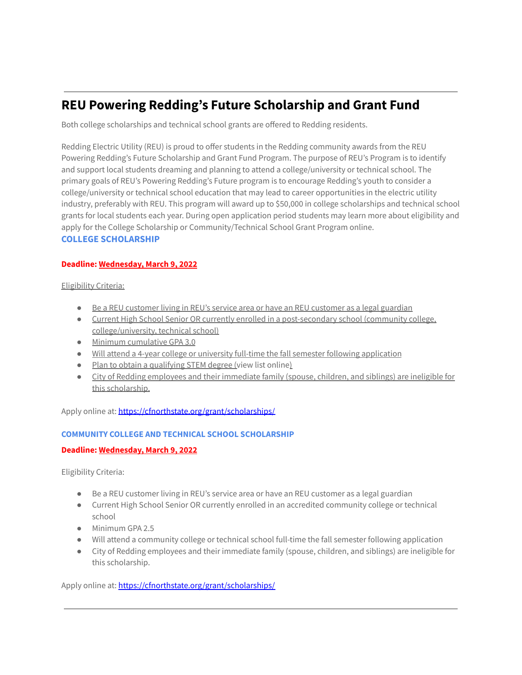# **REU Powering Redding's Future [Scholarship](https://cfnorthstate.org/scholarships/reu-powering-reddings-future-scholarship-and-grant-fund/) and Grant Fund**

Both college scholarships and technical school grants are offered to Redding residents.

Redding Electric Utility (REU) is proud to offer students in the Redding community awards from the [REU](https://cfnorthstate.org/donations/reu-powering-reddings-future-scholarship-and-grant-fund/) Powering Redding's Future [Scholarship](https://cfnorthstate.org/donations/reu-powering-reddings-future-scholarship-and-grant-fund/) and Grant Fund Program. The purpose of REU's Program is to identify and support local students dreaming and planning to attend a college/university or technical school. The primary goals of REU's Powering Redding's Future program is to encourage Redding's youth to consider a college/university or technical school education that may lead to career opportunities in the electric utility industry, preferably with REU. This program will award up to \$50,000 in college scholarships and technical school grants for local students each year. During open application period students may learn more about eligibility and apply for the College Scholarship or Community/Technical School Grant Program online. **COLLEGE SCHOLARSHIP**

## **Deadline: Wednesday, March 9, 2022**

Eligibility Criteria:

- Be a REU customer living in REU's service area or have an REU customer as a legal guardian
- Current High School Senior OR currently enrolled in a post-secondary school (community college, college/university, technical school)
- Minimum cumulative GPA 3.0
- Will attend a 4-year college or university full-time the fall semester following application
- Plan to obtain a qualifying STEM degree (view list [online\)](https://stemstudy.com/stem-careers-glossary/)
- City of Redding employees and their immediate family (spouse, children, and siblings) are ineligible for this scholarship.

Apply online at: <https://cfnorthstate.org/grant/scholarships/>

## **COMMUNITY COLLEGE AND TECHNICAL SCHOOL SCHOLARSHIP**

## **Deadline: Wednesday, March 9, 2022**

Eligibility Criteria:

- Be a REU customer living in REU's service area or have an REU customer as a legal guardian
- Current High School Senior OR currently enrolled in an accredited community college or technical school
- Minimum GPA 2.5
- Will attend a community college or technical school full-time the fall semester following application
- City of Redding employees and their immediate family (spouse, children, and siblings) are ineligible for this scholarship.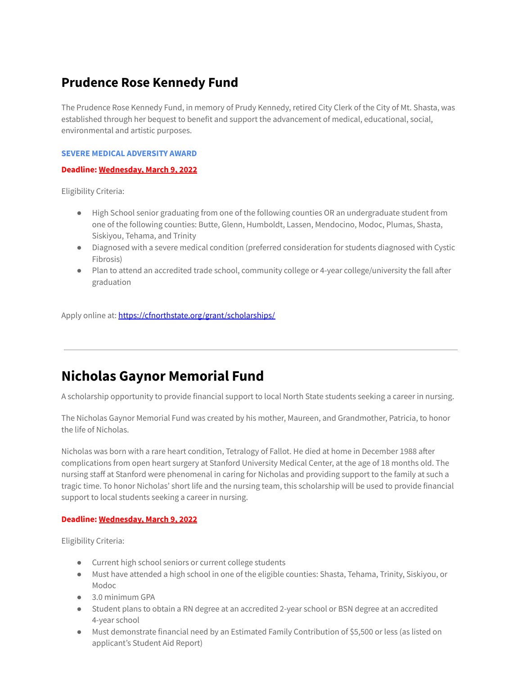# **[Prudence](https://cfnorthstate.org/scholarships/prudence-rose-kennedy-fund/) Rose Kennedy Fund**

The [Prudence](https://cfnorthstate.org/donations/prudence-rose-kennedy-fund/) Rose Kennedy Fund, in memory of Prudy Kennedy, retired City Clerk of the City of Mt. Shasta, was established through her bequest to benefit and support the advancement of medical, educational, social, environmental and artistic purposes.

## **SEVERE MEDICAL ADVERSITY AWARD**

## **Deadline: Wednesday, March 9, 2022**

Eligibility Criteria:

- High School senior graduating from one of the following counties OR an undergraduate student from one of the following counties: Butte, Glenn, Humboldt, Lassen, Mendocino, Modoc, Plumas, Shasta, Siskiyou, Tehama, and Trinity
- Diagnosed with a severe medical condition (preferred consideration for students diagnosed with Cystic Fibrosis)
- Plan to attend an accredited trade school, community college or 4-year college/university the fall after graduation

Apply online at: <https://cfnorthstate.org/grant/scholarships/>

# **Nicholas Gaynor [Memorial](https://cfnorthstate.org/scholarships/nicholas-gaynor-memorial-fund/) Fund**

A scholarship opportunity to provide financial support to local North State students seeking a career in nursing.

The Nicholas Gaynor [Memorial](https://cfnorthstate.org/donations/nicholas-gaynor-memorial-fund/) Fund was created by his mother, Maureen, and Grandmother, Patricia, to honor the life of Nicholas.

Nicholas was born with a rare heart condition, Tetralogy of Fallot. He died at home in December 1988 after complications from open heart surgery at Stanford University Medical Center, at the age of 18 months old. The nursing staff at Stanford were phenomenal in caring for Nicholas and providing support to the family at such a tragic time. To honor Nicholas' short life and the nursing team, this scholarship will be used to provide financial support to local students seeking a career in nursing.

## **Deadline: Wednesday, March 9, 2022**

Eligibility Criteria:

- Current high school seniors or current college students
- Must have attended a high school in one of the eligible counties: Shasta, Tehama, Trinity, Siskiyou, or Modoc
- 3.0 minimum GPA
- Student plans to obtain a RN degree at an accredited 2-year school or BSN degree at an accredited 4-year school
- Must demonstrate financial need by an Estimated Family Contribution of \$5,500 or less (as listed on applicant's Student Aid Report)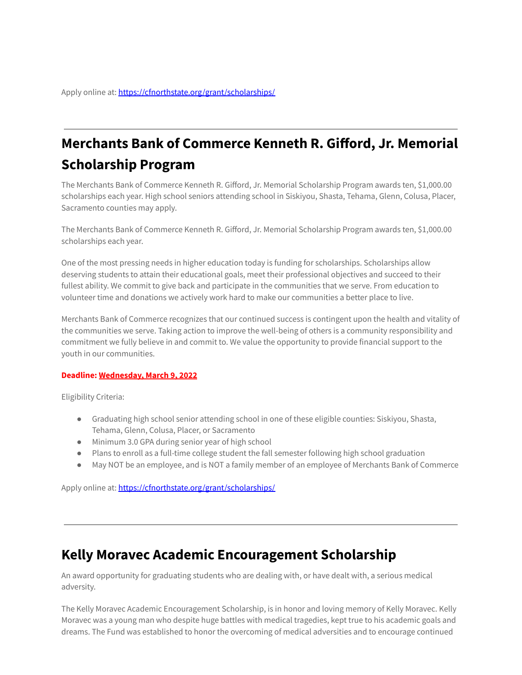# **Merchants Bank of [Commerce](https://cfnorthstate.org/scholarships/merchants-bank-of-commerce-kenneth-r-gifford-jr-memorial-scholarship-program/) Kenneth R. Gifford, Jr. Memorial [Scholarship](https://cfnorthstate.org/scholarships/merchants-bank-of-commerce-kenneth-r-gifford-jr-memorial-scholarship-program/) Program**

The Merchants Bank of Commerce Kenneth R. Gifford, Jr. Memorial Scholarship Program awards ten, \$1,000.00 scholarships each year. High school seniors attending school in Siskiyou, Shasta, Tehama, Glenn, Colusa, Placer, Sacramento counties may apply.

The Merchants Bank of Commerce Kenneth R. Gifford, Jr. Memorial [Scholarship](https://cfnorthstate.org/donations/merchants-bank-of-commerce-kenneth-r-gifford-jr-memorial-scholarship-program/) Program awards ten, \$1,000.00 scholarships each year.

One of the most pressing needs in higher education today is funding for scholarships. Scholarships allow deserving students to attain their educational goals, meet their professional objectives and succeed to their fullest ability. We commit to give back and participate in the communities that we serve. From education to volunteer time and donations we actively work hard to make our communities a better place to live.

Merchants Bank of Commerce recognizes that our continued success is contingent upon the health and vitality of the communities we serve. Taking action to improve the well-being of others is a community responsibility and commitment we fully believe in and commit to. We value the opportunity to provide financial support to the youth in our communities.

## **Deadline: Wednesday, March 9, 2022**

Eligibility Criteria:

- Graduating high school senior attending school in one of these eligible counties: Siskiyou, Shasta, Tehama, Glenn, Colusa, Placer, or Sacramento
- Minimum 3.0 GPA during senior year of high school
- Plans to enroll as a full-time college student the fall semester following high school graduation
- May NOT be an employee, and is NOT a family member of an employee of Merchants Bank of Commerce

Apply online at: <https://cfnorthstate.org/grant/scholarships/>

# **Kelly Moravec Academic [Encouragement](https://cfnorthstate.org/scholarships/kelly-moravec-academic-encouragement-scholarship/) Scholarship**

An award opportunity for graduating students who are dealing with, or have dealt with, a serious medical adversity.

The Kelly Moravec Academic [Encouragement](https://cfnorthstate.org/donations/kelly-moravec-academic-encouragement-scholarship/) Scholarship, is in honor and loving memory of Kelly Moravec. Kelly Moravec was a young man who despite huge battles with medical tragedies, kept true to his academic goals and dreams. The Fund was established to honor the overcoming of medical adversities and to encourage continued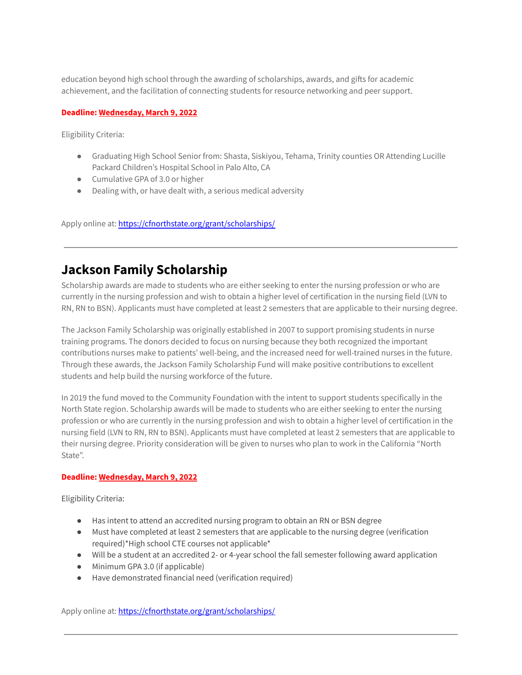education beyond high school through the awarding of scholarships, awards, and gifts for academic achievement, and the facilitation of connecting students for resource networking and peer support.

## **Deadline: Wednesday, March 9, 2022**

Eligibility Criteria:

- Graduating High School Senior from: Shasta, Siskiyou, Tehama, Trinity counties OR Attending Lucille Packard Children's Hospital School in Palo Alto, CA
- Cumulative GPA of 3.0 or higher
- Dealing with, or have dealt with, a serious medical adversity

Apply online at: <https://cfnorthstate.org/grant/scholarships/>

# **Jackson Family [Scholarship](https://cfnorthstate.org/scholarships/jackson-family-scholarship/)**

Scholarship awards are made to students who are either seeking to enter the nursing profession or who are currently in the nursing profession and wish to obtain a higher level of certification in the nursing field (LVN to RN, RN to BSN). Applicants must have completed at least 2 semesters that are applicable to their nursing degree.

The Jackson Family [Scholarship](https://cfnorthstate.org/donations/jackson-family-scholarship/) was originally established in 2007 to support promising students in nurse training programs. The donors decided to focus on nursing because they both recognized the important contributions nurses make to patients' well-being, and the increased need for well-trained nurses in the future. Through these awards, the Jackson Family Scholarship Fund will make positive contributions to excellent students and help build the nursing workforce of the future.

In 2019 the fund moved to the Community Foundation with the intent to support students specifically in the North State region. Scholarship awards will be made to students who are either seeking to enter the nursing profession or who are currently in the nursing profession and wish to obtain a higher level of certification in the nursing field (LVN to RN, RN to BSN). Applicants must have completed at least 2 semesters that are applicable to their nursing degree. Priority consideration will be given to nurses who plan to work in the California "North State".

#### **Deadline: Wednesday, March 9, 2022**

Eligibility Criteria:

- Has intent to attend an accredited nursing program to obtain an RN or BSN degree
- Must have completed at least 2 semesters that are applicable to the nursing degree (verification required)\*High school CTE courses not applicable\*
- Will be a student at an accredited 2- or 4-year school the fall semester following award application
- Minimum GPA 3.0 (if applicable)
- Have demonstrated financial need (verification required)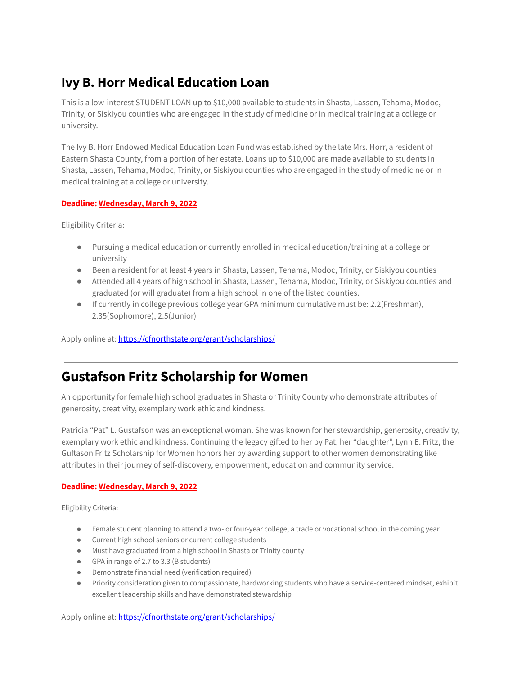# **Ivy B. Horr Medical [Education](https://cfnorthstate.org/scholarships/ivy-b-horr-medical-education-loan-fund/) Loan**

This is a low-interest STUDENT LOAN up to \$10,000 available to students in Shasta, Lassen, Tehama, Modoc, Trinity, or Siskiyou counties who are engaged in the study of medicine or in medical training at a college or university.

The Ivy B. Horr Endowed Medical [Education](https://cfnorthstate.org/donations/ivy-b-horr-medical-education-loan-fund/) Loan Fund was established by the late Mrs. Horr, a resident of Eastern Shasta County, from a portion of her estate. Loans up to \$10,000 are made available to students in Shasta, Lassen, Tehama, Modoc, Trinity, or Siskiyou counties who are engaged in the study of medicine or in medical training at a college or university.

## **Deadline: Wednesday, March 9, 2022**

Eligibility Criteria:

- Pursuing a medical education or currently enrolled in medical education/training at a college or university
- Been a resident for at least 4 years in Shasta, Lassen, Tehama, Modoc, Trinity, or Siskiyou counties
- Attended all 4 years of high school in Shasta, Lassen, Tehama, Modoc, Trinity, or Siskiyou counties and graduated (or will graduate) from a high school in one of the listed counties.
- If currently in college previous college year GPA minimum cumulative must be: 2.2(Freshman), 2.35(Sophomore), 2.5(Junior)

Apply online at: <https://cfnorthstate.org/grant/scholarships/>

# **Gustafson Fritz [Scholarship](https://cfnorthstate.org/scholarships/gustafson-fritz-scholarship-for-women/) for Women**

An opportunity for female high school graduates in Shasta or Trinity County who demonstrate attributes of generosity, creativity, exemplary work ethic and kindness.

Patricia "Pat" L. Gustafson was an exceptional woman. She was known for her stewardship, generosity, creativity, exemplary work ethic and kindness. Continuing the legacy gifted to her by Pat, her "daughter", Lynn E. Fritz, the Guftason Fritz [Scholarship](https://cfnorthstate.org/donations/gustafson-fritz-scholarship-for-women/) for Women honors her by awarding support to other women demonstrating like attributes in their journey of self-discovery, empowerment, education and community service.

## **Deadline: Wednesday, March 9, 2022**

Eligibility Criteria:

- Female student planning to attend a two- or four-year college, a trade or vocational school in the coming year
- Current high school seniors or current college students
- Must have graduated from a high school in Shasta or Trinity county
- GPA in range of 2.7 to 3.3 (B students)
- Demonstrate financial need (verification required)
- Priority consideration given to compassionate, hardworking students who have a service-centered mindset, exhibit excellent leadership skills and have demonstrated stewardship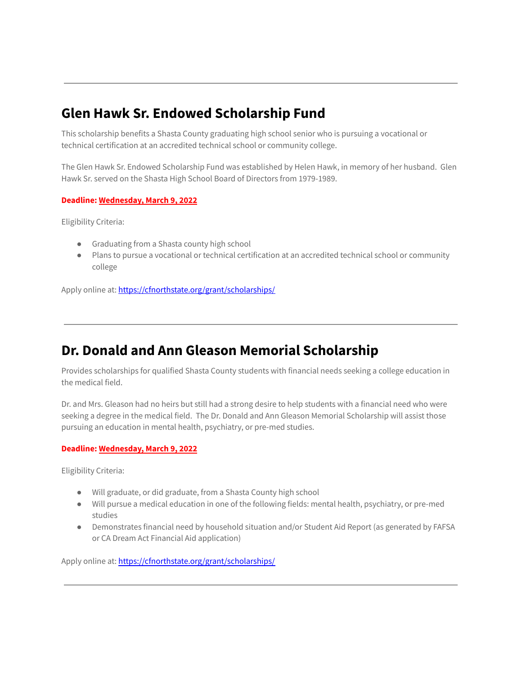# **Glen Hawk Sr. Endowed [Scholarship](https://cfnorthstate.org/scholarships/glen-hawk-sr-endowed-scholarship-fund/) Fund**

This scholarship benefits a Shasta County graduating high school senior who is pursuing a vocational or technical certification at an accredited technical school or community college.

The Glen Hawk Sr. Endowed [Scholarship](https://cfnorthstate.org/donations/glen-hawk-sr-endowed-scholarship-fund/) Fund was established by Helen Hawk, in memory of her husband. Glen Hawk Sr. served on the Shasta High School Board of Directors from 1979-1989.

## **Deadline: Wednesday, March 9, 2022**

Eligibility Criteria:

- Graduating from a Shasta county high school
- Plans to pursue a vocational or technical certification at an accredited technical school or community college

Apply online at: <https://cfnorthstate.org/grant/scholarships/>

# **Dr. Donald and Ann Gleason Memorial [Scholarship](https://cfnorthstate.org/scholarships/dr-donald-and-ann-gleason-memorial-scholarship/)**

Provides scholarships for qualified Shasta County students with financial needs seeking a college education in the medical field.

Dr. and Mrs. Gleason had no heirs but still had a strong desire to help students with a financial need who were seeking a degree in the medical field. The Dr. Donald and Ann Gleason Memorial [Scholarship](https://cfnorthstate.org/donations/dr-donald-and-ann-gleason-memorial-scholarship/) will assist those pursuing an education in mental health, psychiatry, or pre-med studies.

#### **Deadline: Wednesday, March 9, 2022**

Eligibility Criteria:

- Will graduate, or did graduate, from a Shasta County high school
- Will pursue a medical education in one of the following fields: mental health, psychiatry, or pre-med studies
- Demonstrates financial need by household situation and/or Student Aid Report (as generated by FAFSA or CA Dream Act Financial Aid application)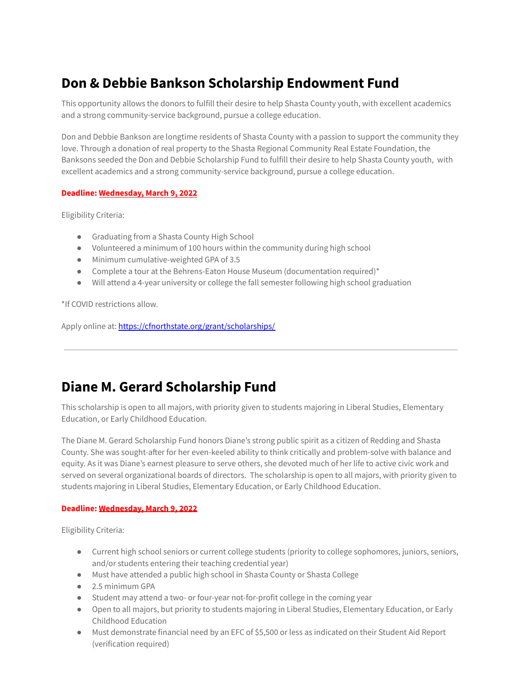# **Don & Debbie Bankson Scholarship [Endowment](https://cfnorthstate.org/scholarships/don-debbie-bankson-scholarship-endowment-fund/) Fund**

This opportunity allows the donors to fulfill their desire to help Shasta County youth, with excellent academics and a strong community-service background, pursue a college education.

Don and Debbie Bankson are longtime residents of Shasta County with a passion to support the community they love. Through a donation of real property to the Shasta Regional Community Real Estate Foundation, the Banksons seeded the Don and Debbie [Scholarship](https://cfnorthstate.org/donations/don-debbie-bankson-scholarship-endowment-fund/) Fund to fulfill their desire to help Shasta County youth, with excellent academics and a strong community-service background, pursue a college education.

## **Deadline: Wednesday, March 9, 2022**

Eligibility Criteria:

- Graduating from a Shasta County High School
- Volunteered a minimum of 100 hours within the community during high school
- Minimum cumulative-weighted GPA of 3.5
- Complete a tour at the Behrens-Eaton House Museum (documentation required)\*
- Will attend a 4-year university or college the fall semester following high school graduation

\*If COVID restrictions allow.

Apply online at: <https://cfnorthstate.org/grant/scholarships/>

# **Diane M. Gerard [Scholarship](https://cfnorthstate.org/scholarships/diane-m-gerard-scholarship-fund/) Fund**

This scholarship is open to all majors, with priority given to students majoring in Liberal Studies, Elementary Education, or Early Childhood Education.

The Diane M. Gerard [Scholarship](https://cfnorthstate.org/donations/diane-m-gerard-scholarship-fund/) Fund honors Diane's strong public spirit as a citizen of Redding and Shasta County. She was sought-after for her even-keeled ability to think critically and problem-solve with balance and equity. As it was Diane's earnest pleasure to serve others, she devoted much of her life to active civic work and served on several organizational boards of directors. The scholarship is open to all majors, with priority given to students majoring in Liberal Studies, Elementary Education, or Early Childhood Education.

## **Deadline: Wednesday, March 9, 2022**

Eligibility Criteria:

- Current high school seniors or current college students (priority to college sophomores, juniors, seniors, and/or students entering their teaching credential year)
- Must have attended a public high school in Shasta County or Shasta College
- 2.5 minimum GPA
- Student may attend a two- or four-year not-for-profit college in the coming year
- Open to all majors, but priority to students majoring in Liberal Studies, Elementary Education, or Early Childhood Education
- Must demonstrate financial need by an EFC of \$5,500 or less as indicated on their Student Aid Report (verification required)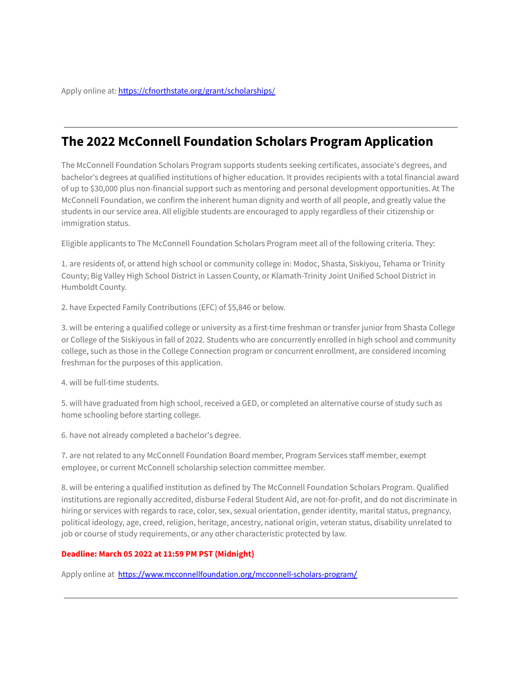# **The 2022 McConnell Foundation Scholars Program Application**

The McConnell Foundation Scholars Program supports students seeking certificates, associate's degrees, and bachelor's degrees at qualified institutions of higher education. It provides recipients with a total financial award of up to \$30,000 plus non-financial support such as mentoring and personal development opportunities. At The McConnell Foundation, we confirm the inherent human dignity and worth of all people, and greatly value the students in our service area. All eligible students are encouraged to apply regardless of their citizenship or immigration status.

Eligible applicants to The McConnell Foundation Scholars Program meet all of the following criteria. They:

1. are residents of, or attend high school or community college in: Modoc, Shasta, Siskiyou, Tehama or Trinity County; Big Valley High School District in Lassen County, or Klamath-Trinity Joint Unified School District in Humboldt County.

2. have Expected Family Contributions (EFC) of \$5,846 or below.

3. will be entering a qualified college or university as a first-time freshman or transfer junior from Shasta College or College of the Siskiyous in fall of 2022. Students who are concurrently enrolled in high school and community college, such as those in the College Connection program or concurrent enrollment, are considered incoming freshman for the purposes of this application.

4. will be full-time students.

5. will have graduated from high school, received a GED, or completed an alternative course of study such as home schooling before starting college.

6. have not already completed a bachelor's degree.

7. are not related to any McConnell Foundation Board member, Program Services staff member, exempt employee, or current McConnell scholarship selection committee member.

8. will be entering a qualified institution as defined by The McConnell Foundation Scholars Program. Qualified institutions are regionally accredited, disburse Federal Student Aid, are not-for-profit, and do not discriminate in hiring or services with regards to race, color, sex, sexual orientation, gender identity, marital status, pregnancy, political ideology, age, creed, religion, heritage, ancestry, national origin, veteran status, disability unrelated to job or course of study requirements, or any other characteristic protected by law.

## **Deadline: March 05 2022 at 11:59 PM PST (Midnight)**

Apply online at <https://www.mcconnellfoundation.org/mcconnell-scholars-program/>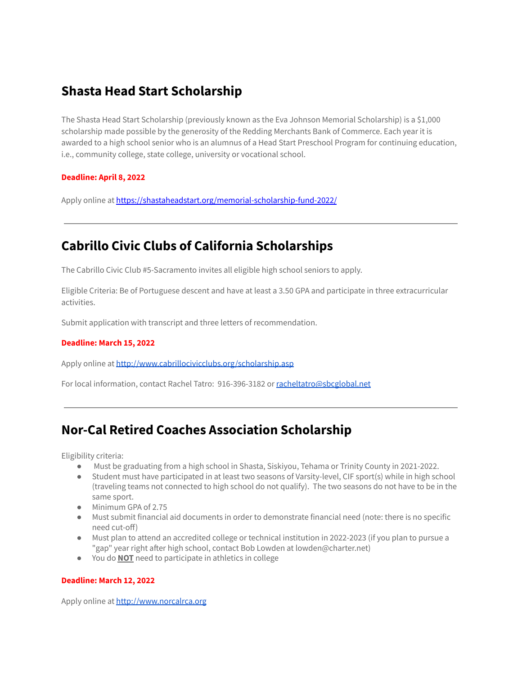## **Shasta Head Start Scholarship**

The Shasta Head Start Scholarship (previously known as the Eva Johnson Memorial Scholarship) is a \$1,000 scholarship made possible by the generosity of the Redding Merchants Bank of Commerce. Each year it is awarded to a high school senior who is an alumnus of a Head Start Preschool Program for continuing education, i.e., community college, state college, university or vocational school.

## **Deadline: April 8, 2022**

Apply online at <https://shastaheadstart.org/memorial-scholarship-fund-2022/>

## **Cabrillo Civic Clubs of California Scholarships**

The Cabrillo Civic Club #5-Sacramento invites all eligible high school seniors to apply.

Eligible Criteria: Be of Portuguese descent and have at least a 3.50 GPA and participate in three extracurricular activities.

Submit application with transcript and three letters of recommendation.

## **Deadline: March 15, 2022**

Apply online at <http://www.cabrillocivicclubs.org/scholarship.asp>

For local information, contact Rachel Tatro: 916-396-3182 or [racheltatro@sbcglobal.net](mailto:racheltatro@sbcglobal.net)

## **Nor-Cal Retired Coaches Association Scholarship**

Eligibility criteria:

- Must be graduating from a high school in Shasta, Siskiyou, Tehama or Trinity County in 2021-2022.
- Student must have participated in at least two seasons of Varsity-level, CIF sport(s) while in high school (traveling teams not connected to high school do not qualify). The two seasons do not have to be in the same sport.
- Minimum GPA of 2.75
- Must submit financial aid documents in order to demonstrate financial need (note: there is no specific need cut-off)
- Must plan to attend an accredited college or technical institution in 2022-2023 (if you plan to pursue a "gap" year right after high school, contact Bob Lowden at lowden@charter.net)
- You do **NOT** need to participate in athletics in college

## **Deadline: March 12, 2022**

Apply online at <http://www.norcalrca.org>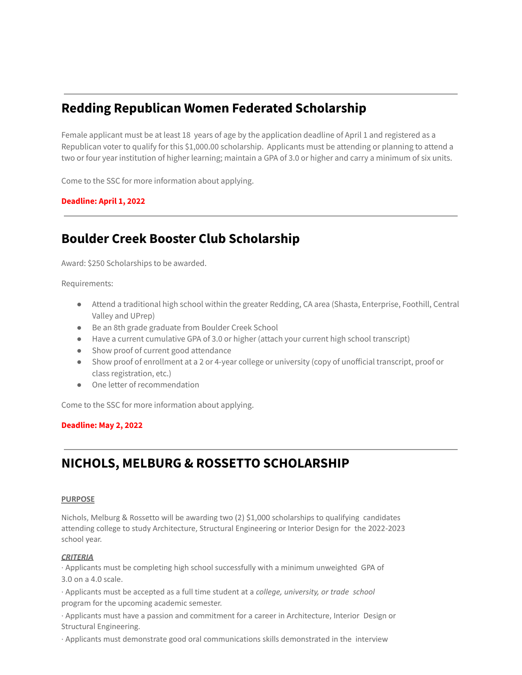## **Redding Republican Women Federated Scholarship**

Female applicant must be at least 18 years of age by the application deadline of April 1 and registered as a Republican voter to qualify for this \$1,000.00 scholarship. Applicants must be attending or planning to attend a two or four year institution of higher learning; maintain a GPA of 3.0 or higher and carry a minimum of six units.

Come to the SSC for more information about applying.

**Deadline: April 1, 2022**

## **Boulder Creek Booster Club Scholarship**

Award: \$250 Scholarships to be awarded.

Requirements:

- Attend a traditional high school within the greater Redding, CA area (Shasta, Enterprise, Foothill, Central Valley and UPrep)
- Be an 8th grade graduate from Boulder Creek School
- Have a current cumulative GPA of 3.0 or higher (attach your current high school transcript)
- Show proof of current good attendance
- Show proof of enrollment at a 2 or 4-year college or university (copy of unofficial transcript, proof or class registration, etc.)
- One letter of recommendation

Come to the SSC for more information about applying.

#### **Deadline: May 2, 2022**

## **NICHOLS, MELBURG & ROSSETTO SCHOLARSHIP**

#### **PURPOSE**

Nichols, Melburg & Rossetto will be awarding two (2) \$1,000 scholarships to qualifying candidates attending college to study Architecture, Structural Engineering or Interior Design for the 2022-2023 school year.

#### *CRITERIA*

∙ Applicants must be completing high school successfully with a minimum unweighted GPA of 3.0 on a 4.0 scale.

∙ Applicants must be accepted as a full time student at a *college, university, or trade school* program for the upcoming academic semester.

∙ Applicants must have a passion and commitment for a career in Architecture, Interior Design or Structural Engineering.

∙ Applicants must demonstrate good oral communications skills demonstrated in the interview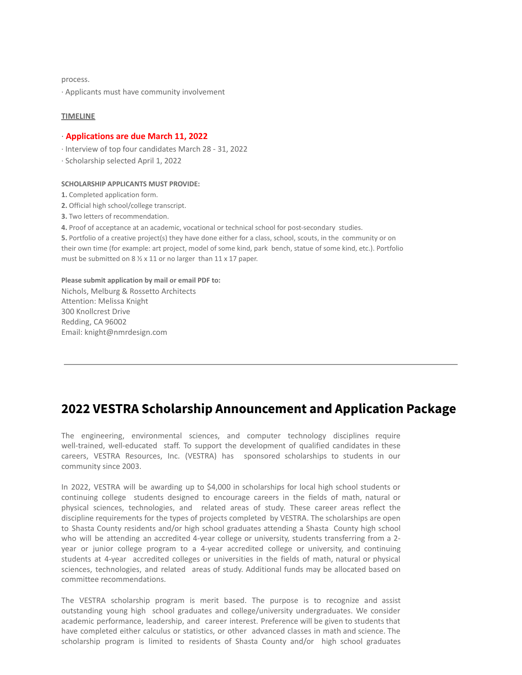process.

∙ Applicants must have community involvement

#### **TIMELINE**

#### ∙ **Applications are due March 11, 2022**

- ∙ Interview of top four candidates March 28 31, 2022
- ∙ Scholarship selected April 1, 2022

#### **SCHOLARSHIP APPLICANTS MUST PROVIDE:**

- **1.** Completed application form.
- **2.** Official high school/college transcript.
- **3.** Two letters of recommendation.

**4.** Proof of acceptance at an academic, vocational or technical school for post-secondary studies.

**5.** Portfolio of a creative project(s) they have done either for a class, school, scouts, in the community or on their own time (for example: art project, model of some kind, park bench, statue of some kind, etc.). Portfolio must be submitted on 8 ½ x 11 or no larger than 11 x 17 paper.

#### **Please submit application by mail or email PDF to:**

Nichols, Melburg & Rossetto Architects Attention: Melissa Knight 300 Knollcrest Drive Redding, CA 96002 Email: knight@nmrdesign.com

## **2022 VESTRA Scholarship Announcement and Application Package**

The engineering, environmental sciences, and computer technology disciplines require well-trained, well-educated staff. To support the development of qualified candidates in these careers, VESTRA Resources, Inc. (VESTRA) has sponsored scholarships to students in our community since 2003.

In 2022, VESTRA will be awarding up to \$4,000 in scholarships for local high school students or continuing college students designed to encourage careers in the fields of math, natural or physical sciences, technologies, and related areas of study. These career areas reflect the discipline requirements for the types of projects completed by VESTRA. The scholarships are open to Shasta County residents and/or high school graduates attending a Shasta County high school who will be attending an accredited 4-year college or university, students transferring from a 2 year or junior college program to a 4-year accredited college or university, and continuing students at 4-year accredited colleges or universities in the fields of math, natural or physical sciences, technologies, and related areas of study. Additional funds may be allocated based on committee recommendations.

The VESTRA scholarship program is merit based. The purpose is to recognize and assist outstanding young high school graduates and college/university undergraduates. We consider academic performance, leadership, and career interest. Preference will be given to students that have completed either calculus or statistics, or other advanced classes in math and science. The scholarship program is limited to residents of Shasta County and/or high school graduates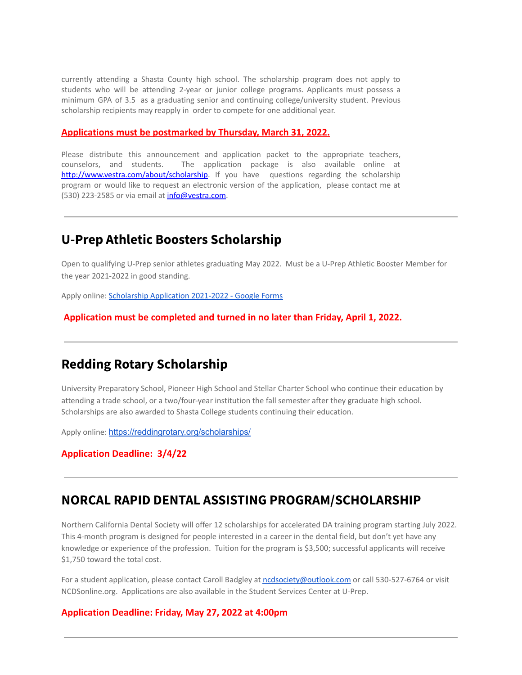currently attending a Shasta County high school. The scholarship program does not apply to students who will be attending 2-year or junior college programs. Applicants must possess a minimum GPA of 3.5 as a graduating senior and continuing college/university student. Previous scholarship recipients may reapply in order to compete for one additional year.

#### **Applications must be postmarked by Thursday, March 31, 2022.**

Please distribute this announcement and application packet to the appropriate teachers, counselors, and students. The application package is also available online at http://www.vestra.com/about/scholarship. If you have questions regarding the scholarship program or would like to request an electronic version of the application, please contact me at (530) 223-2585 or via email at *info@vestra.com*.

## **U-Prep Athletic Boosters Scholarship**

Open to qualifying U-Prep senior athletes graduating May 2022. Must be a U-Prep Athletic Booster Member for the year 2021-2022 in good standing.

Apply online: [Scholarship](https://docs.google.com/forms/d/1SMRZiI6L4TBK6hXqJKw5zTf_VjrItt2xbG-yHm8qwpY/edit) Application 2021-2022 - Google Forms

**Application must be completed and turned in no later than Friday, April 1, 2022.**

## **Redding Rotary Scholarship**

University Preparatory School, Pioneer High School and Stellar Charter School who continue their education by attending a trade school, or a two/four-year institution the fall semester after they graduate high school. Scholarships are also awarded to Shasta College students continuing their education.

Apply online: <https://reddingrotary.org/scholarships/>

#### **Application Deadline: 3/4/22**

## **NORCAL RAPID DENTAL ASSISTING PROGRAM/SCHOLARSHIP**

Northern California Dental Society will offer 12 scholarships for accelerated DA training program starting July 2022. This 4-month program is designed for people interested in a career in the dental field, but don't yet have any knowledge or experience of the profession. Tuition for the program is \$3,500; successful applicants will receive \$1,750 toward the total cost.

For a student application, please contact Caroll Badgley at [ncdsociety@outlook.com](mailto:ncdsociety@outlook.com) or call 530-527-6764 or visit NCDSonline.org. Applications are also available in the Student Services Center at U-Prep.

#### **Application Deadline: Friday, May 27, 2022 at 4:00pm**